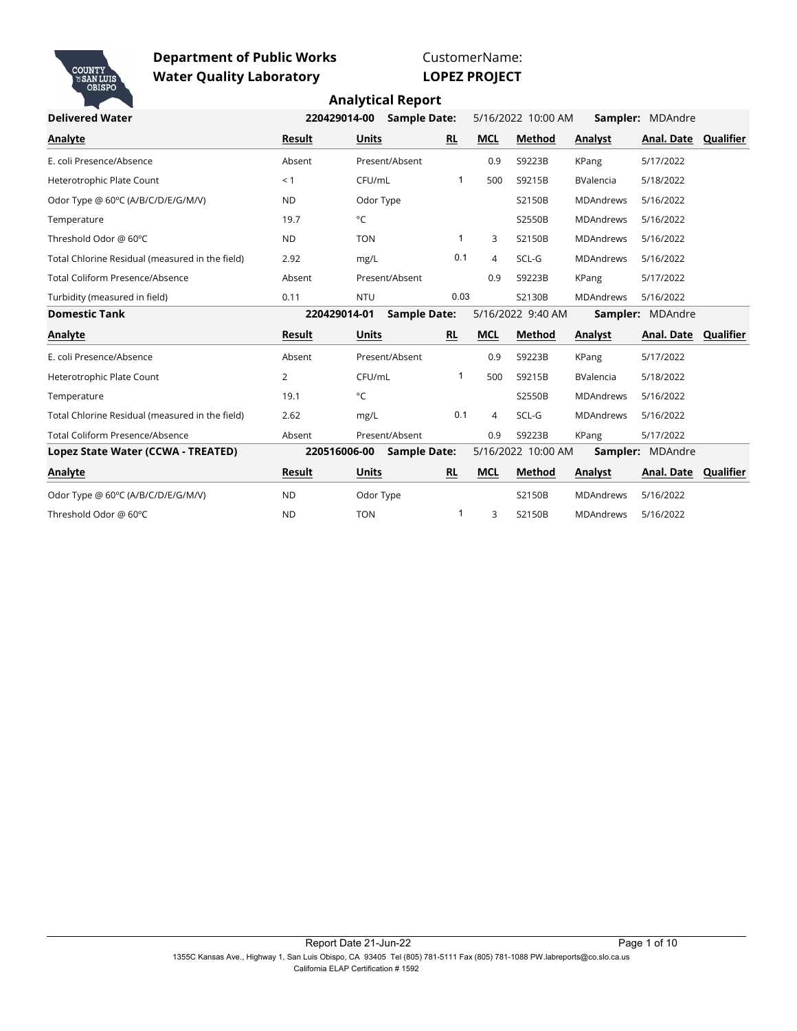

CustomerName:

**LOPEZ PROJECT**

| <b>Delivered Water</b>                          | 220429014-00   | <b>Sample Date:</b> |              |                | 5/16/2022 10:00 AM |                  | <b>Sampler: MDAndre</b> |           |
|-------------------------------------------------|----------------|---------------------|--------------|----------------|--------------------|------------------|-------------------------|-----------|
| Analyte                                         | Result         | Units               | <b>RL</b>    | <b>MCL</b>     | <b>Method</b>      | Analyst          | Anal. Date Qualifier    |           |
| E. coli Presence/Absence                        | Absent         | Present/Absent      |              | 0.9            | S9223B             | KPang            | 5/17/2022               |           |
| Heterotrophic Plate Count                       | < 1            | CFU/mL              | 1            | 500            | S9215B             | <b>BValencia</b> | 5/18/2022               |           |
| Odor Type @ 60°C (A/B/C/D/E/G/M/V)              | <b>ND</b>      | Odor Type           |              |                | S2150B             | <b>MDAndrews</b> | 5/16/2022               |           |
| Temperature                                     | 19.7           | °C                  |              |                | S2550B             | <b>MDAndrews</b> | 5/16/2022               |           |
| Threshold Odor @ 60°C                           | <b>ND</b>      | <b>TON</b>          | 1            | 3              | S2150B             | <b>MDAndrews</b> | 5/16/2022               |           |
| Total Chlorine Residual (measured in the field) | 2.92           | mg/L                | 0.1          | $\overline{4}$ | SCL-G              | <b>MDAndrews</b> | 5/16/2022               |           |
| <b>Total Coliform Presence/Absence</b>          | Absent         | Present/Absent      |              | 0.9            | S9223B             | KPang            | 5/17/2022               |           |
| Turbidity (measured in field)                   | 0.11           | <b>NTU</b>          | 0.03         |                | S2130B             | <b>MDAndrews</b> | 5/16/2022               |           |
| <b>Domestic Tank</b>                            | 220429014-01   | <b>Sample Date:</b> |              |                | 5/16/2022 9:40 AM  |                  | Sampler: MDAndre        |           |
| Analyte                                         | Result         | Units               | <b>RL</b>    | <b>MCL</b>     | <b>Method</b>      | Analyst          | Anal. Date              | Qualifier |
| E. coli Presence/Absence                        | Absent         | Present/Absent      |              | 0.9            | S9223B             | KPang            | 5/17/2022               |           |
| Heterotrophic Plate Count                       | $\overline{2}$ | CFU/mL              | $\mathbf{1}$ | 500            | S9215B             | <b>BValencia</b> | 5/18/2022               |           |
| Temperature                                     | 19.1           | °C                  |              |                | S2550B             | <b>MDAndrews</b> | 5/16/2022               |           |
| Total Chlorine Residual (measured in the field) | 2.62           | mg/L                | 0.1          | $\overline{4}$ | SCL-G              | <b>MDAndrews</b> | 5/16/2022               |           |
| Total Coliform Presence/Absence                 | Absent         | Present/Absent      |              | 0.9            | S9223B             | KPang            | 5/17/2022               |           |
| Lopez State Water (CCWA - TREATED)              | 220516006-00   | <b>Sample Date:</b> |              |                | 5/16/2022 10:00 AM |                  | Sampler: MDAndre        |           |
| Analyte                                         | <b>Result</b>  | <b>Units</b>        | <b>RL</b>    | <b>MCL</b>     | Method             | Analyst          | Anal. Date Qualifier    |           |
| Odor Type @ 60°C (A/B/C/D/E/G/M/V)              | <b>ND</b>      | Odor Type           |              |                | S2150B             | <b>MDAndrews</b> | 5/16/2022               |           |
| Threshold Odor @ 60°C                           | <b>ND</b>      | <b>TON</b>          | 1            | 3              | S2150B             | <b>MDAndrews</b> | 5/16/2022               |           |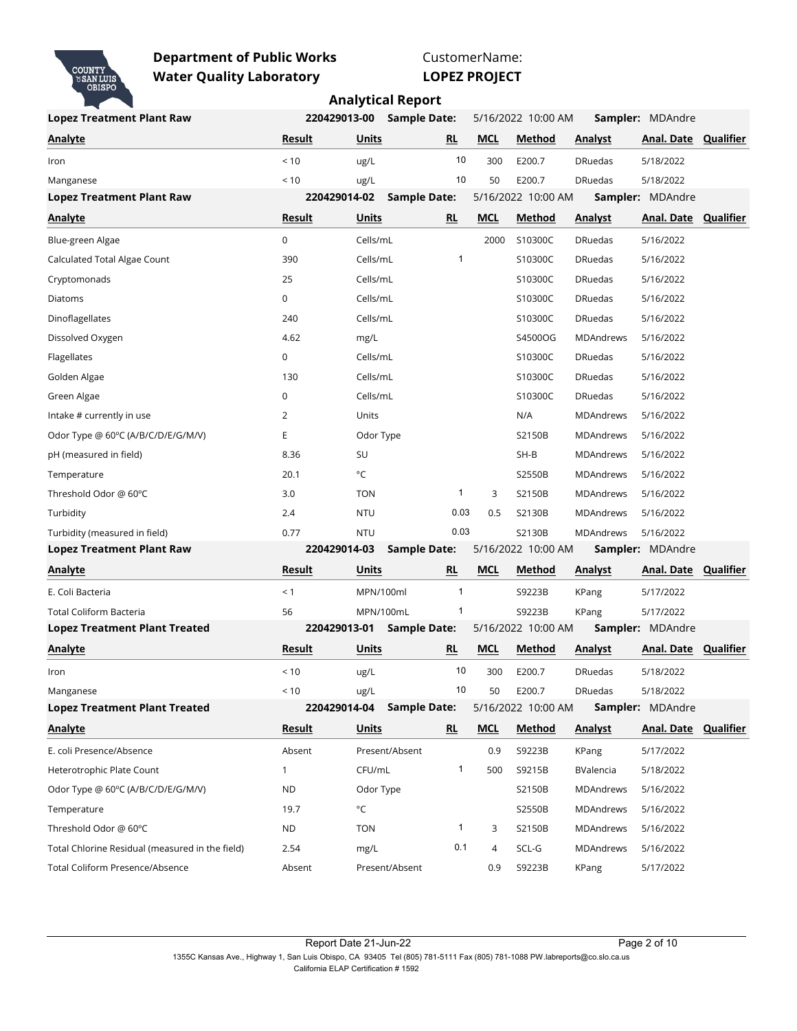

CustomerName: **LOPEZ PROJECT**

| <b>Lopez Treatment Plant Raw</b>                | 220429013-00  |              | <b>Sample Date:</b> |           |            | 5/16/2022 10:00 AM |                  | <b>Sampler: MDAndre</b>     |           |
|-------------------------------------------------|---------------|--------------|---------------------|-----------|------------|--------------------|------------------|-----------------------------|-----------|
| <b>Analyte</b>                                  | Result        | Units        |                     | RL        | <b>MCL</b> | Method             | <b>Analyst</b>   | <b>Anal. Date Qualifier</b> |           |
| Iron                                            | < 10          | ug/L         |                     | 10        | 300        | E200.7             | <b>DRuedas</b>   | 5/18/2022                   |           |
| Manganese                                       | < 10          | ug/L         |                     | 10        | 50         | E200.7             | <b>DRuedas</b>   | 5/18/2022                   |           |
| <b>Lopez Treatment Plant Raw</b>                | 220429014-02  |              | <b>Sample Date:</b> |           |            | 5/16/2022 10:00 AM |                  | Sampler: MDAndre            |           |
| <b>Analyte</b>                                  | <u>Result</u> | Units        |                     | RL        | <b>MCL</b> | Method             | <b>Analyst</b>   | <b>Anal. Date Qualifier</b> |           |
| Blue-green Algae                                | $\mathbf 0$   | Cells/mL     |                     |           | 2000       | S10300C            | <b>DRuedas</b>   | 5/16/2022                   |           |
| Calculated Total Algae Count                    | 390           | Cells/mL     |                     | 1         |            | S10300C            | <b>DRuedas</b>   | 5/16/2022                   |           |
| Cryptomonads                                    | 25            | Cells/mL     |                     |           |            | S10300C            | <b>DRuedas</b>   | 5/16/2022                   |           |
| Diatoms                                         | $\mathbf 0$   | Cells/mL     |                     |           |            | S10300C            | <b>DRuedas</b>   | 5/16/2022                   |           |
| Dinoflagellates                                 | 240           | Cells/mL     |                     |           |            | S10300C            | <b>DRuedas</b>   | 5/16/2022                   |           |
| Dissolved Oxygen                                | 4.62          | mg/L         |                     |           |            | S4500OG            | <b>MDAndrews</b> | 5/16/2022                   |           |
| Flagellates                                     | 0             | Cells/mL     |                     |           |            | S10300C            | <b>DRuedas</b>   | 5/16/2022                   |           |
| Golden Algae                                    | 130           | Cells/mL     |                     |           |            | S10300C            | <b>DRuedas</b>   | 5/16/2022                   |           |
| Green Algae                                     | 0             | Cells/mL     |                     |           |            | S10300C            | <b>DRuedas</b>   | 5/16/2022                   |           |
| Intake # currently in use                       | 2             | Units        |                     |           |            | N/A                | <b>MDAndrews</b> | 5/16/2022                   |           |
| Odor Type @ 60°C (A/B/C/D/E/G/M/V)              | Ε             | Odor Type    |                     |           |            | S2150B             | MDAndrews        | 5/16/2022                   |           |
| pH (measured in field)                          | 8.36          | SU           |                     |           |            | SH-B               | <b>MDAndrews</b> | 5/16/2022                   |           |
| Temperature                                     | 20.1          | °C           |                     |           |            | S2550B             | <b>MDAndrews</b> | 5/16/2022                   |           |
| Threshold Odor @ 60°C                           | 3.0           | <b>TON</b>   |                     | 1         | 3          | S2150B             | <b>MDAndrews</b> | 5/16/2022                   |           |
| Turbidity                                       | 2.4           | <b>NTU</b>   |                     | 0.03      | 0.5        | S2130B             | <b>MDAndrews</b> | 5/16/2022                   |           |
| Turbidity (measured in field)                   | 0.77          | <b>NTU</b>   |                     | 0.03      |            | S2130B             | MDAndrews        | 5/16/2022                   |           |
| <b>Lopez Treatment Plant Raw</b>                | 220429014-03  |              | <b>Sample Date:</b> |           |            | 5/16/2022 10:00 AM |                  | Sampler: MDAndre            |           |
| Analyte                                         | Result        | Units        |                     | <b>RL</b> | <b>MCL</b> | Method             | <b>Analyst</b>   | Anal. Date                  | Qualifier |
| E. Coli Bacteria                                | < 1           | MPN/100ml    |                     |           |            | S9223B             | KPang            | 5/17/2022                   |           |
| <b>Total Coliform Bacteria</b>                  | 56            | MPN/100mL    |                     | 1         |            | S9223B             | KPang            | 5/17/2022                   |           |
| <b>Lopez Treatment Plant Treated</b>            | 220429013-01  |              | <b>Sample Date:</b> |           |            | 5/16/2022 10:00 AM |                  | Sampler: MDAndre            |           |
| <b>Analyte</b>                                  | Result        | Units        |                     | <b>RL</b> | <b>MCL</b> | Method             | Analyst          | Anal. Date Qualifier        |           |
| Iron                                            | < 10          | ug/L         |                     | 10        | 300        | E200.7             | <b>DRuedas</b>   | 5/18/2022                   |           |
| Manganese                                       | $<10$         | ug/L         |                     | 10        | 50         | E200.7             | <b>DRuedas</b>   | 5/18/2022                   |           |
| <b>Lopez Treatment Plant Treated</b>            | 220429014-04  |              | <b>Sample Date:</b> |           |            | 5/16/2022 10:00 AM |                  | <b>Sampler: MDAndre</b>     |           |
| <b>Analyte</b>                                  | Result        | <b>Units</b> |                     | RL.       | <b>MCL</b> | Method             | <b>Analyst</b>   | <b>Anal. Date Qualifier</b> |           |
| E. coli Presence/Absence                        | Absent        |              | Present/Absent      |           | 0.9        | S9223B             | KPang            | 5/17/2022                   |           |
| Heterotrophic Plate Count                       | $\mathbf{1}$  | CFU/mL       |                     | 1         | 500        | S9215B             | BValencia        | 5/18/2022                   |           |
| Odor Type @ 60°C (A/B/C/D/E/G/M/V)              | <b>ND</b>     | Odor Type    |                     |           |            | S2150B             | <b>MDAndrews</b> | 5/16/2022                   |           |
| Temperature                                     | 19.7          | °C           |                     |           |            | S2550B             | MDAndrews        | 5/16/2022                   |           |
| Threshold Odor @ 60°C                           | <b>ND</b>     | <b>TON</b>   |                     | 1         | 3          | S2150B             | MDAndrews        | 5/16/2022                   |           |
| Total Chlorine Residual (measured in the field) | 2.54          | mg/L         |                     | 0.1       | 4          | SCL-G              | MDAndrews        | 5/16/2022                   |           |
| Total Coliform Presence/Absence                 | Absent        |              | Present/Absent      |           | 0.9        | S9223B             | KPang            | 5/17/2022                   |           |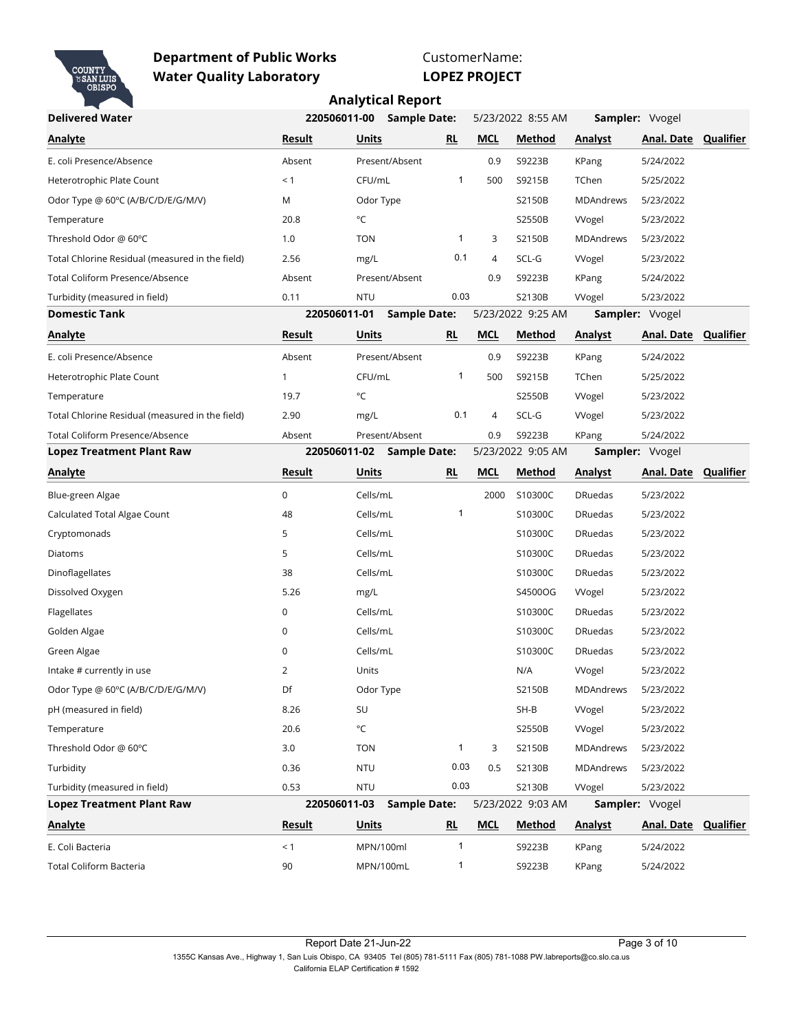

CustomerName:

**LOPEZ PROJECT**

| <b>Delivered Water</b>                          | 220506011-00 |              | <b>Sample Date:</b>       |              |            | 5/23/2022 8:55 AM |                  | Sampler: Vvogel             |           |
|-------------------------------------------------|--------------|--------------|---------------------------|--------------|------------|-------------------|------------------|-----------------------------|-----------|
| Analyte                                         | Result       | Units        |                           | <b>RL</b>    | <b>MCL</b> | Method            | Analyst          | Anal. Date Qualifier        |           |
| E. coli Presence/Absence                        | Absent       |              | Present/Absent            |              | 0.9        | S9223B            | KPang            | 5/24/2022                   |           |
| Heterotrophic Plate Count                       | < 1          | CFU/mL       |                           | 1            | 500        | S9215B            | TChen            | 5/25/2022                   |           |
| Odor Type @ 60°C (A/B/C/D/E/G/M/V)              | M            | Odor Type    |                           |              |            | S2150B            | <b>MDAndrews</b> | 5/23/2022                   |           |
| Temperature                                     | 20.8         | °C           |                           |              |            | S2550B            | <b>VVogel</b>    | 5/23/2022                   |           |
| Threshold Odor @ 60°C                           | 1.0          | <b>TON</b>   |                           | 1            | 3          | S2150B            | MDAndrews        | 5/23/2022                   |           |
| Total Chlorine Residual (measured in the field) | 2.56         | mg/L         |                           | 0.1          | 4          | SCL-G             | <b>VVogel</b>    | 5/23/2022                   |           |
| Total Coliform Presence/Absence                 | Absent       |              | Present/Absent            |              | 0.9        | S9223B            | KPang            | 5/24/2022                   |           |
| Turbidity (measured in field)                   | 0.11         | <b>NTU</b>   |                           | 0.03         |            | S2130B            | <b>VVogel</b>    | 5/23/2022                   |           |
| <b>Domestic Tank</b>                            | 220506011-01 |              | <b>Sample Date:</b>       |              |            | 5/23/2022 9:25 AM |                  | Sampler: Vvogel             |           |
| <b>Analyte</b>                                  | Result       | Units        |                           | RL           | <b>MCL</b> | Method            | <b>Analyst</b>   | <b>Anal. Date Qualifier</b> |           |
| E. coli Presence/Absence                        | Absent       |              | Present/Absent            |              | 0.9        | S9223B            | KPang            | 5/24/2022                   |           |
| Heterotrophic Plate Count                       | $\mathbf{1}$ | CFU/mL       |                           | 1            | 500        | S9215B            | TChen            | 5/25/2022                   |           |
| Temperature                                     | 19.7         | °C           |                           |              |            | S2550B            | <b>VVogel</b>    | 5/23/2022                   |           |
| Total Chlorine Residual (measured in the field) | 2.90         | mg/L         |                           | 0.1          | 4          | SCL-G             | <b>Wogel</b>     | 5/23/2022                   |           |
| Total Coliform Presence/Absence                 | Absent       |              | Present/Absent            |              | 0.9        | S9223B            | KPang            | 5/24/2022                   |           |
| <b>Lopez Treatment Plant Raw</b>                |              |              | 220506011-02 Sample Date: |              |            | 5/23/2022 9:05 AM |                  | Sampler: Vvogel             |           |
| <b>Analyte</b>                                  | Result       | Units        |                           | RL           | <b>MCL</b> | Method            | <b>Analyst</b>   | Anal. Date                  | Qualifier |
| Blue-green Algae                                | $\mathbf 0$  | Cells/mL     |                           |              | 2000       | S10300C           | <b>DRuedas</b>   | 5/23/2022                   |           |
| Calculated Total Algae Count                    | 48           | Cells/mL     |                           | 1            |            | S10300C           | <b>DRuedas</b>   | 5/23/2022                   |           |
| Cryptomonads                                    | 5            | Cells/mL     |                           |              |            | S10300C           | <b>DRuedas</b>   | 5/23/2022                   |           |
| Diatoms                                         | 5            | Cells/mL     |                           |              |            | S10300C           | <b>DRuedas</b>   | 5/23/2022                   |           |
| Dinoflagellates                                 | 38           | Cells/mL     |                           |              |            | S10300C           | <b>DRuedas</b>   | 5/23/2022                   |           |
| Dissolved Oxygen                                | 5.26         | mg/L         |                           |              |            | S4500OG           | <b>Wogel</b>     | 5/23/2022                   |           |
| Flagellates                                     | $\mathsf 0$  | Cells/mL     |                           |              |            | S10300C           | <b>DRuedas</b>   | 5/23/2022                   |           |
| Golden Algae                                    | 0            | Cells/mL     |                           |              |            | S10300C           | <b>DRuedas</b>   | 5/23/2022                   |           |
| Green Algae                                     | 0            | Cells/mL     |                           |              |            | S10300C           | <b>DRuedas</b>   | 5/23/2022                   |           |
| Intake # currently in use                       | 2            | Units        |                           |              |            | N/A               | <b>Wogel</b>     | 5/23/2022                   |           |
| Odor Type @ 60°C (A/B/C/D/E/G/M/V)              | Df           | Odor Type    |                           |              |            | S2150B            | <b>MDAndrews</b> | 5/23/2022                   |           |
| pH (measured in field)                          | 8.26         | SU           |                           |              |            | $SH-B$            | <b>VVogel</b>    | 5/23/2022                   |           |
| Temperature                                     | 20.6         | $^{\circ}$ C |                           |              |            | S2550B            | <b>VVogel</b>    | 5/23/2022                   |           |
| Threshold Odor @ 60°C                           | 3.0          | <b>TON</b>   |                           | $\mathbf{1}$ | 3          | S2150B            | MDAndrews        | 5/23/2022                   |           |
| Turbidity                                       | 0.36         | <b>NTU</b>   |                           | 0.03         | 0.5        | S2130B            | <b>MDAndrews</b> | 5/23/2022                   |           |
| Turbidity (measured in field)                   | 0.53         | <b>NTU</b>   |                           | 0.03         |            | S2130B            | <b>VVogel</b>    | 5/23/2022                   |           |
| <b>Lopez Treatment Plant Raw</b>                |              |              | <b>Sample Date:</b>       |              |            | 5/23/2022 9:03 AM | Sampler: Vvogel  |                             |           |
| <b>Analyte</b>                                  | 220506011-03 |              |                           |              |            |                   |                  |                             |           |
|                                                 | Result       | <b>Units</b> |                           | RL           | <b>MCL</b> | <b>Method</b>     | <b>Analyst</b>   | Anal. Date Qualifier        |           |
| E. Coli Bacteria                                | < 1          |              | MPN/100ml                 | $\mathbf{1}$ |            | S9223B            | KPang            | 5/24/2022                   |           |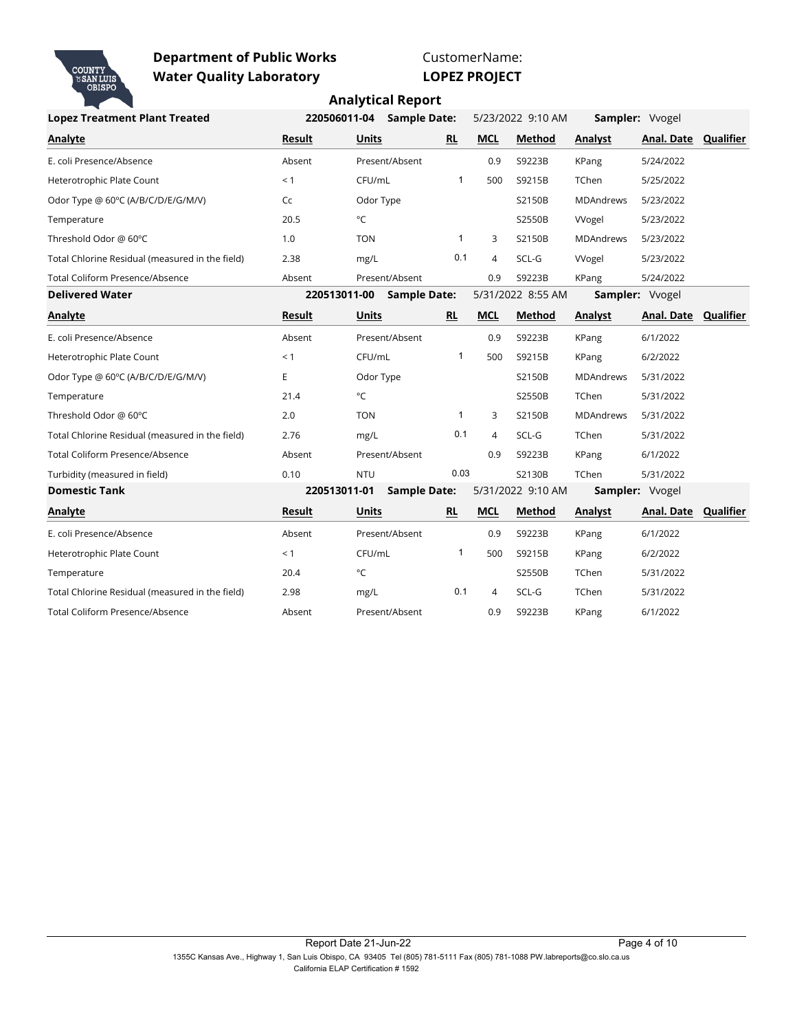

CustomerName:

**LOPEZ PROJECT**

| <b>Lopez Treatment Plant Treated</b>            |               | 220506011-04 | <b>Sample Date:</b> |              |            | 5/23/2022 9:10 AM | Sampler: Vvogel  |                      |           |
|-------------------------------------------------|---------------|--------------|---------------------|--------------|------------|-------------------|------------------|----------------------|-----------|
| <b>Analyte</b>                                  | Result        | <b>Units</b> |                     | <b>RL</b>    | <b>MCL</b> | <b>Method</b>     | Analyst          | Anal. Date           | Qualifier |
| E. coli Presence/Absence                        | Absent        |              | Present/Absent      |              | 0.9        | S9223B            | KPang            | 5/24/2022            |           |
| Heterotrophic Plate Count                       | < 1           | CFU/mL       |                     | $\mathbf{1}$ | 500        | S9215B            | TChen            | 5/25/2022            |           |
| Odor Type @ 60°C (A/B/C/D/E/G/M/V)              | Cc            | Odor Type    |                     |              |            | S2150B            | <b>MDAndrews</b> | 5/23/2022            |           |
| Temperature                                     | 20.5          | °C           |                     |              |            | S2550B            | VVogel           | 5/23/2022            |           |
| Threshold Odor @ 60°C                           | 1.0           | <b>TON</b>   |                     | $\mathbf{1}$ | 3          | S2150B            | <b>MDAndrews</b> | 5/23/2022            |           |
| Total Chlorine Residual (measured in the field) | 2.38          | mg/L         |                     | 0.1          | 4          | SCL-G             | <b>VVogel</b>    | 5/23/2022            |           |
| Total Coliform Presence/Absence                 | Absent        |              | Present/Absent      |              | 0.9        | S9223B            | KPang            | 5/24/2022            |           |
| <b>Delivered Water</b>                          |               | 220513011-00 | <b>Sample Date:</b> |              |            | 5/31/2022 8:55 AM |                  | Sampler: Vvogel      |           |
| <b>Analyte</b>                                  | Result        | <b>Units</b> |                     | <b>RL</b>    | <b>MCL</b> | <b>Method</b>     | Analyst          | Anal. Date Qualifier |           |
| E. coli Presence/Absence                        | Absent        |              | Present/Absent      |              | 0.9        | S9223B            | <b>KPang</b>     | 6/1/2022             |           |
| Heterotrophic Plate Count                       | < 1           | CFU/mL       |                     | $\mathbf{1}$ | 500        | S9215B            | KPang            | 6/2/2022             |           |
| Odor Type @ 60°C (A/B/C/D/E/G/M/V)              | E             | Odor Type    |                     |              |            | S2150B            | <b>MDAndrews</b> | 5/31/2022            |           |
| Temperature                                     | 21.4          | °C           |                     |              |            | S2550B            | TChen            | 5/31/2022            |           |
| Threshold Odor @ 60°C                           | 2.0           | <b>TON</b>   |                     | $\mathbf{1}$ | 3          | S2150B            | <b>MDAndrews</b> | 5/31/2022            |           |
| Total Chlorine Residual (measured in the field) | 2.76          | mg/L         |                     | 0.1          | 4          | SCL-G             | TChen            | 5/31/2022            |           |
| Total Coliform Presence/Absence                 | Absent        |              | Present/Absent      |              | 0.9        | S9223B            | KPang            | 6/1/2022             |           |
| Turbidity (measured in field)                   | 0.10          | <b>NTU</b>   |                     | 0.03         |            | S2130B            | TChen            | 5/31/2022            |           |
| <b>Domestic Tank</b>                            |               | 220513011-01 | <b>Sample Date:</b> |              |            | 5/31/2022 9:10 AM |                  | Sampler: Vvogel      |           |
| Analyte                                         | <b>Result</b> | <b>Units</b> |                     | RL           | <b>MCL</b> | Method            | Analyst          | Anal. Date Qualifier |           |
| E. coli Presence/Absence                        | Absent        |              | Present/Absent      |              | 0.9        | S9223B            | KPang            | 6/1/2022             |           |
| Heterotrophic Plate Count                       | < 1           | CFU/mL       |                     | $\mathbf{1}$ | 500        | S9215B            | KPang            | 6/2/2022             |           |
| Temperature                                     | 20.4          | °C           |                     |              |            | S2550B            | TChen            | 5/31/2022            |           |
| Total Chlorine Residual (measured in the field) | 2.98          | mg/L         |                     | 0.1          | 4          | SCL-G             | TChen            | 5/31/2022            |           |
| <b>Total Coliform Presence/Absence</b>          | Absent        |              | Present/Absent      |              | 0.9        | S9223B            | KPang            | 6/1/2022             |           |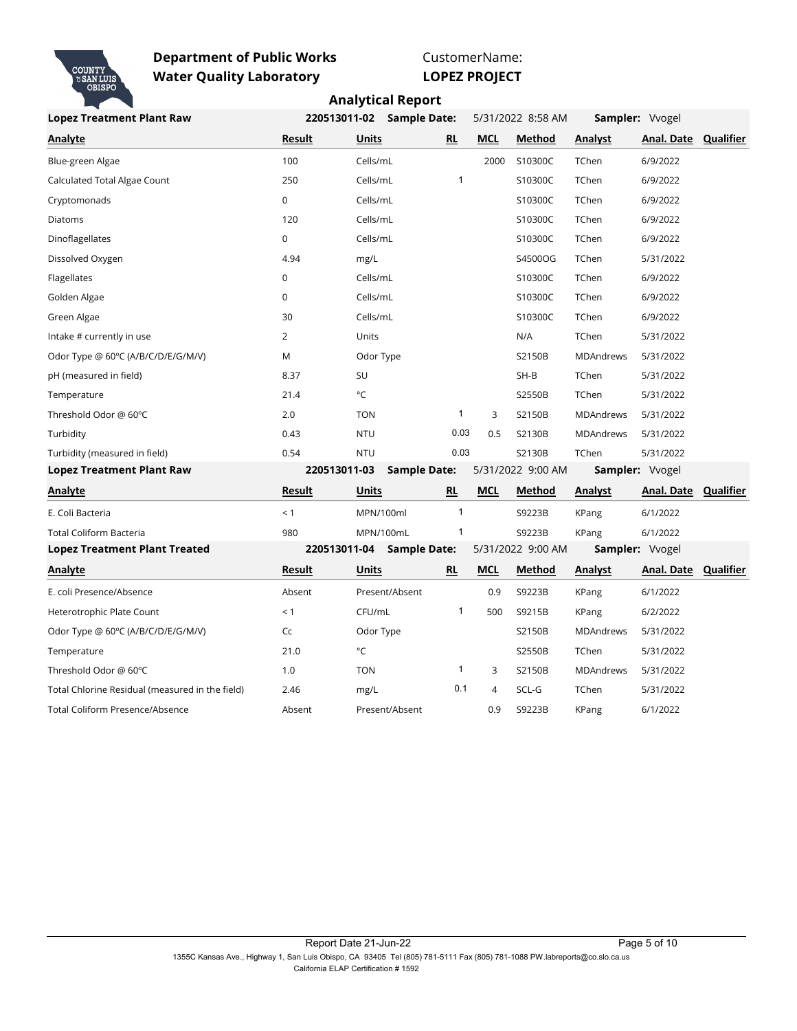

CustomerName:

**LOPEZ PROJECT**

| <b>Lopez Treatment Plant Raw</b>                |                | 220513011-02<br><b>Sample Date:</b> |              | 5/31/2022 8:58 AM |                   | Sampler: Vvogel  |                             |                  |
|-------------------------------------------------|----------------|-------------------------------------|--------------|-------------------|-------------------|------------------|-----------------------------|------------------|
| <b>Analyte</b>                                  | Result         | <b>Units</b>                        | <b>RL</b>    | <b>MCL</b>        | Method            | Analyst          | Anal. Date Qualifier        |                  |
| Blue-green Algae                                | 100            | Cells/mL                            |              | 2000              | S10300C           | TChen            | 6/9/2022                    |                  |
| Calculated Total Algae Count                    | 250            | Cells/mL                            | $\mathbf{1}$ |                   | S10300C           | TChen            | 6/9/2022                    |                  |
| Cryptomonads                                    | 0              | Cells/mL                            |              |                   | S10300C           | TChen            | 6/9/2022                    |                  |
| Diatoms                                         | 120            | Cells/mL                            |              |                   | S10300C           | TChen            | 6/9/2022                    |                  |
| Dinoflagellates                                 | 0              | Cells/mL                            |              |                   | S10300C           | TChen            | 6/9/2022                    |                  |
| Dissolved Oxygen                                | 4.94           | mg/L                                |              |                   | S4500OG           | TChen            | 5/31/2022                   |                  |
| Flagellates                                     | $\mathbf 0$    | Cells/mL                            |              |                   | S10300C           | TChen            | 6/9/2022                    |                  |
| Golden Algae                                    | 0              | Cells/mL                            |              |                   | S10300C           | TChen            | 6/9/2022                    |                  |
| Green Algae                                     | 30             | Cells/mL                            |              |                   | S10300C           | TChen            | 6/9/2022                    |                  |
| Intake # currently in use                       | $\overline{2}$ | Units                               |              |                   | N/A               | TChen            | 5/31/2022                   |                  |
| Odor Type @ 60°C (A/B/C/D/E/G/M/V)              | M              | Odor Type                           |              |                   | S2150B            | <b>MDAndrews</b> | 5/31/2022                   |                  |
| pH (measured in field)                          | 8.37           | SU                                  |              |                   | $SH-B$            | TChen            | 5/31/2022                   |                  |
| Temperature                                     | 21.4           | °C                                  |              |                   | S2550B            | TChen            | 5/31/2022                   |                  |
| Threshold Odor @ 60°C                           | 2.0            | <b>TON</b>                          | $\mathbf{1}$ | 3                 | S2150B            | MDAndrews        | 5/31/2022                   |                  |
| Turbidity                                       | 0.43           | <b>NTU</b>                          | 0.03         | 0.5               | S2130B            | MDAndrews        | 5/31/2022                   |                  |
| Turbidity (measured in field)                   | 0.54           | <b>NTU</b>                          | 0.03         |                   | S2130B            | TChen            | 5/31/2022                   |                  |
| <b>Lopez Treatment Plant Raw</b>                | 220513011-03   | <b>Sample Date:</b>                 |              |                   | 5/31/2022 9:00 AM |                  | Sampler: Vvogel             |                  |
| Analyte                                         | Result         | Units                               | <b>RL</b>    | <b>MCL</b>        | <b>Method</b>     | Analyst          | Anal. Date                  | <b>Qualifier</b> |
| E. Coli Bacteria                                | < 1            | MPN/100ml                           | $\mathbf{1}$ |                   | S9223B            | KPang            | 6/1/2022                    |                  |
| <b>Total Coliform Bacteria</b>                  | 980            | MPN/100mL                           | 1            |                   | S9223B            | KPang            | 6/1/2022                    |                  |
| <b>Lopez Treatment Plant Treated</b>            |                | 220513011-04<br><b>Sample Date:</b> |              |                   | 5/31/2022 9:00 AM |                  | Sampler: Vvogel             |                  |
| Analyte                                         | Result         | <b>Units</b>                        | <b>RL</b>    | <b>MCL</b>        | <b>Method</b>     | Analyst          | <b>Anal. Date Qualifier</b> |                  |
| E. coli Presence/Absence                        | Absent         | Present/Absent                      |              | 0.9               | S9223B            | <b>KPang</b>     | 6/1/2022                    |                  |
| Heterotrophic Plate Count                       | < 1            | CFU/mL                              | 1            | 500               | S9215B            | KPang            | 6/2/2022                    |                  |
| Odor Type @ 60°C (A/B/C/D/E/G/M/V)              | Cc             | Odor Type                           |              |                   | S2150B            | <b>MDAndrews</b> | 5/31/2022                   |                  |
| Temperature                                     | 21.0           | $^{\circ}$ C                        |              |                   | S2550B            | TChen            | 5/31/2022                   |                  |
| Threshold Odor @ 60°C                           | 1.0            | <b>TON</b>                          | 1            | 3                 | S2150B            | <b>MDAndrews</b> | 5/31/2022                   |                  |
| Total Chlorine Residual (measured in the field) | 2.46           | mg/L                                | 0.1          | $\overline{4}$    | SCL-G             | TChen            | 5/31/2022                   |                  |
| <b>Total Coliform Presence/Absence</b>          | Absent         | Present/Absent                      |              | 0.9               | S9223B            | KPang            | 6/1/2022                    |                  |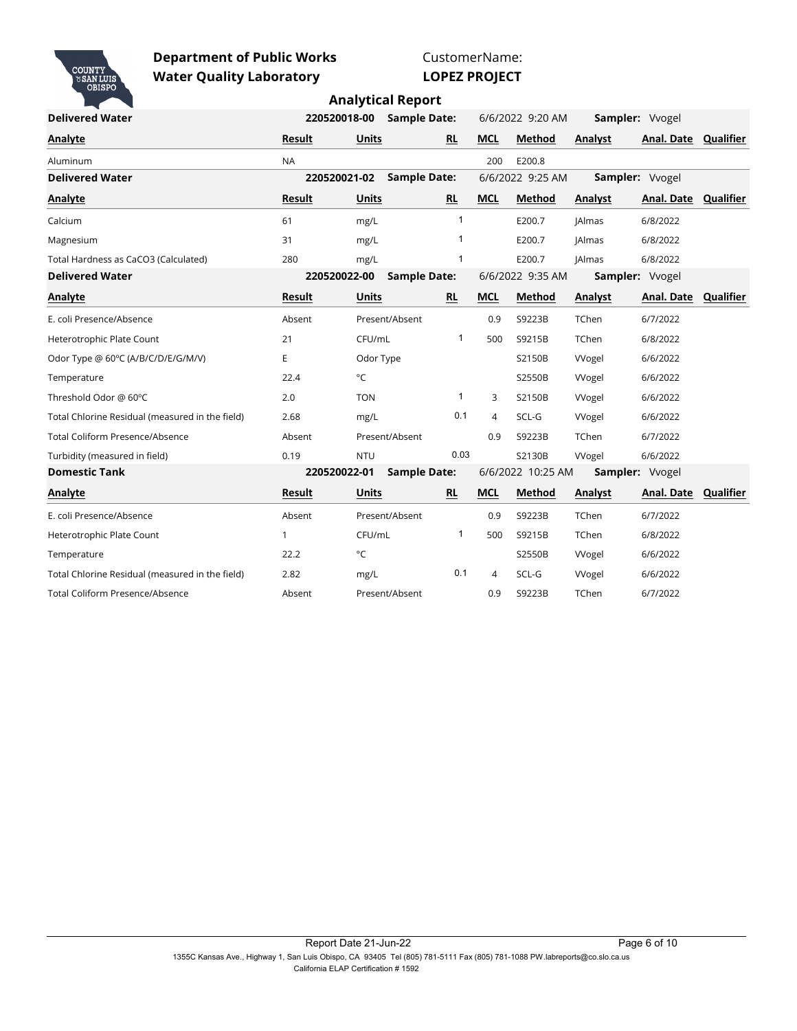

CustomerName:

# **LOPEZ PROJECT**

|  |  | <b>Analytical Report</b> |  |
|--|--|--------------------------|--|
|--|--|--------------------------|--|

| <b>Delivered Water</b>                          |               | 220520018-00 | <b>Sample Date:</b> |              |                | 6/6/2022 9:20 AM  |               | Sampler: Vvogel      |                  |
|-------------------------------------------------|---------------|--------------|---------------------|--------------|----------------|-------------------|---------------|----------------------|------------------|
| <b>Analyte</b>                                  | <b>Result</b> | <b>Units</b> |                     | <b>RL</b>    | <b>MCL</b>     | Method            | Analyst       | Anal. Date Qualifier |                  |
| Aluminum                                        | <b>NA</b>     |              |                     |              | 200            | E200.8            |               |                      |                  |
| <b>Delivered Water</b>                          |               | 220520021-02 | <b>Sample Date:</b> |              |                | 6/6/2022 9:25 AM  |               | Sampler: Vvogel      |                  |
| Analyte                                         | Result        | <b>Units</b> |                     | <b>RL</b>    | <b>MCL</b>     | Method            | Analyst       | Anal. Date           | <b>Qualifier</b> |
| Calcium                                         | 61            | mg/L         |                     | $\mathbf 1$  |                | E200.7            | <b>JAlmas</b> | 6/8/2022             |                  |
| Magnesium                                       | 31            | mg/L         |                     |              |                | E200.7            | <b>JAlmas</b> | 6/8/2022             |                  |
| Total Hardness as CaCO3 (Calculated)            | 280           | mg/L         |                     |              |                | E200.7            | <b>JAlmas</b> | 6/8/2022             |                  |
| <b>Delivered Water</b>                          |               | 220520022-00 | <b>Sample Date:</b> |              |                | 6/6/2022 9:35 AM  |               | Sampler: Vvogel      |                  |
| Analyte                                         | <b>Result</b> | <b>Units</b> |                     | <b>RL</b>    | <b>MCL</b>     | Method            | Analyst       | Anal. Date Qualifier |                  |
| E. coli Presence/Absence                        | Absent        |              | Present/Absent      |              | 0.9            | S9223B            | TChen         | 6/7/2022             |                  |
| Heterotrophic Plate Count                       | 21            | CFU/mL       |                     | 1            | 500            | S9215B            | <b>TChen</b>  | 6/8/2022             |                  |
| Odor Type @ 60°C (A/B/C/D/E/G/M/V)              | E             | Odor Type    |                     |              |                | S2150B            | Wogel         | 6/6/2022             |                  |
| Temperature                                     | 22.4          | $^{\circ}$ C |                     |              |                | S2550B            | <b>VVogel</b> | 6/6/2022             |                  |
| Threshold Odor @ 60°C                           | 2.0           | <b>TON</b>   |                     | $\mathbf{1}$ | 3              | S2150B            | <b>VVogel</b> | 6/6/2022             |                  |
| Total Chlorine Residual (measured in the field) | 2.68          | mg/L         |                     | 0.1          | $\overline{4}$ | SCL-G             | <b>VVogel</b> | 6/6/2022             |                  |
| <b>Total Coliform Presence/Absence</b>          | Absent        |              | Present/Absent      |              | 0.9            | S9223B            | TChen         | 6/7/2022             |                  |
| Turbidity (measured in field)                   | 0.19          | <b>NTU</b>   |                     | 0.03         |                | S2130B            | <b>VVogel</b> | 6/6/2022             |                  |
| <b>Domestic Tank</b>                            |               | 220520022-01 | <b>Sample Date:</b> |              |                | 6/6/2022 10:25 AM |               | Sampler: Vvogel      |                  |
| Analyte                                         | <b>Result</b> | <b>Units</b> |                     | <b>RL</b>    | <b>MCL</b>     | Method            | Analyst       | Anal. Date Qualifier |                  |
| E. coli Presence/Absence                        | Absent        |              | Present/Absent      |              | 0.9            | S9223B            | TChen         | 6/7/2022             |                  |
| Heterotrophic Plate Count                       | $\mathbf{1}$  | CFU/mL       |                     | $\mathbf{1}$ | 500            | S9215B            | <b>TChen</b>  | 6/8/2022             |                  |
| Temperature                                     | 22.2          | °C           |                     |              |                | S2550B            | <b>VVogel</b> | 6/6/2022             |                  |
| Total Chlorine Residual (measured in the field) | 2.82          | mg/L         |                     | 0.1          | 4              | SCL-G             | <b>VVogel</b> | 6/6/2022             |                  |
| <b>Total Coliform Presence/Absence</b>          | Absent        |              | Present/Absent      |              | 0.9            | S9223B            | TChen         | 6/7/2022             |                  |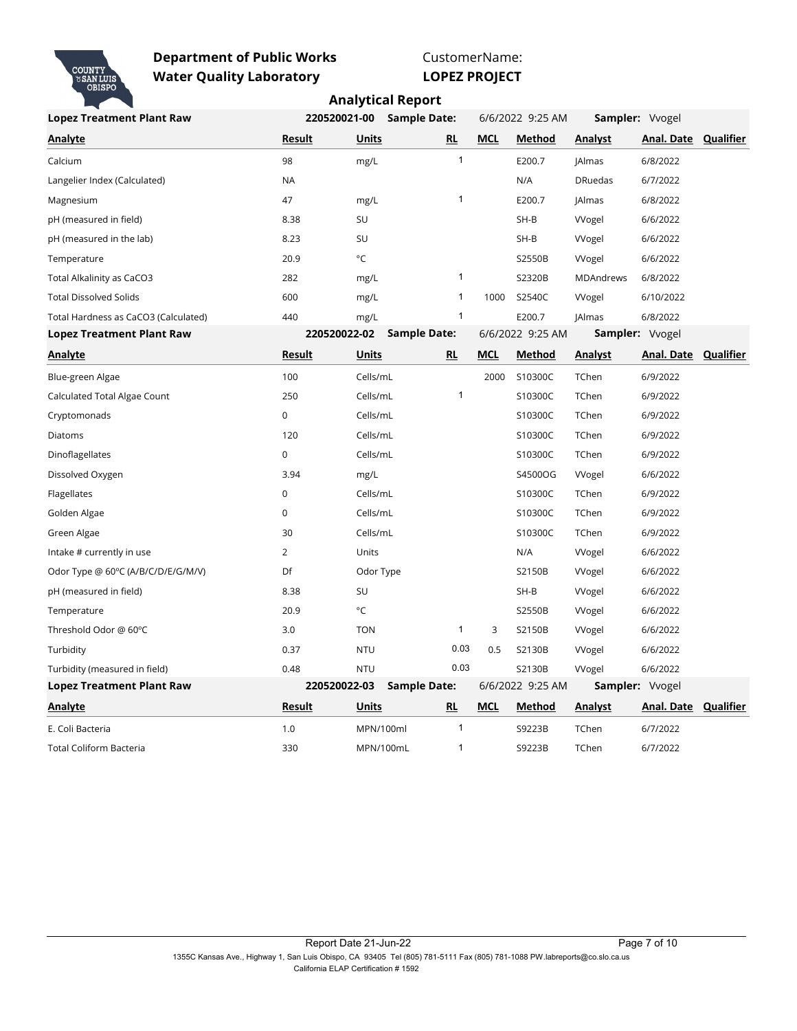

CustomerName:

**LOPEZ PROJECT**

| <b>Lopez Treatment Plant Raw</b>     | 220520021-00   | <b>Sample Date:</b> |              |            | 6/6/2022 9:25 AM |                  | Sampler: Vvogel             |  |
|--------------------------------------|----------------|---------------------|--------------|------------|------------------|------------------|-----------------------------|--|
| Analyte                              | Result         | <b>Units</b>        | RL           | <b>MCL</b> | Method           | Analyst          | Anal. Date Qualifier        |  |
| Calcium                              | 98             | mg/L                | $\mathbf{1}$ |            | E200.7           | JAlmas           | 6/8/2022                    |  |
| Langelier Index (Calculated)         | <b>NA</b>      |                     |              |            | N/A              | <b>DRuedas</b>   | 6/7/2022                    |  |
| Magnesium                            | 47             | mg/L                | $\mathbf{1}$ |            | E200.7           | JAlmas           | 6/8/2022                    |  |
| pH (measured in field)               | 8.38           | SU                  |              |            | $SH-B$           | <b>VVogel</b>    | 6/6/2022                    |  |
| pH (measured in the lab)             | 8.23           | SU                  |              |            | $SH-B$           | VVogel           | 6/6/2022                    |  |
| Temperature                          | 20.9           | °C                  |              |            | S2550B           | <b>VVogel</b>    | 6/6/2022                    |  |
| Total Alkalinity as CaCO3            | 282            | mg/L                | $\mathbf{1}$ |            | S2320B           | <b>MDAndrews</b> | 6/8/2022                    |  |
| <b>Total Dissolved Solids</b>        | 600            | mg/L                | $\mathbf{1}$ | 1000       | S2540C           | <b>Wogel</b>     | 6/10/2022                   |  |
| Total Hardness as CaCO3 (Calculated) | 440            | mg/L                | $\mathbf{1}$ |            | E200.7           | JAlmas           | 6/8/2022                    |  |
| <b>Lopez Treatment Plant Raw</b>     | 220520022-02   | <b>Sample Date:</b> |              |            | 6/6/2022 9:25 AM |                  | Sampler: Vvogel             |  |
| <b>Analyte</b>                       | <b>Result</b>  | <b>Units</b>        | RL           | <b>MCL</b> | Method           | <b>Analyst</b>   | <b>Anal. Date Qualifier</b> |  |
| Blue-green Algae                     | 100            | Cells/mL            |              | 2000       | S10300C          | TChen            | 6/9/2022                    |  |
| Calculated Total Algae Count         | 250            | Cells/mL            | $\mathbf{1}$ |            | S10300C          | TChen            | 6/9/2022                    |  |
| Cryptomonads                         | $\mathbf 0$    | Cells/mL            |              |            | S10300C          | TChen            | 6/9/2022                    |  |
| Diatoms                              | 120            | Cells/mL            |              |            | S10300C          | TChen            | 6/9/2022                    |  |
| Dinoflagellates                      | $\pmb{0}$      | Cells/mL            |              |            | S10300C          | TChen            | 6/9/2022                    |  |
| Dissolved Oxygen                     | 3.94           | mg/L                |              |            | S4500OG          | Wogel            | 6/6/2022                    |  |
| Flagellates                          | 0              | Cells/mL            |              |            | S10300C          | TChen            | 6/9/2022                    |  |
| Golden Algae                         | $\mathbf 0$    | Cells/mL            |              |            | S10300C          | TChen            | 6/9/2022                    |  |
| Green Algae                          | 30             | Cells/mL            |              |            | S10300C          | TChen            | 6/9/2022                    |  |
| Intake # currently in use            | $\overline{2}$ | Units               |              |            | N/A              | Wogel            | 6/6/2022                    |  |
| Odor Type @ 60°C (A/B/C/D/E/G/M/V)   | Df             | Odor Type           |              |            | S2150B           | Wogel            | 6/6/2022                    |  |
| pH (measured in field)               | 8.38           | SU                  |              |            | SH-B             | <b>VVogel</b>    | 6/6/2022                    |  |
| Temperature                          | 20.9           | °C                  |              |            | S2550B           | <b>VVogel</b>    | 6/6/2022                    |  |
| Threshold Odor @ 60°C                | 3.0            | <b>TON</b>          | $\mathbf{1}$ | 3          | S2150B           | <b>VVogel</b>    | 6/6/2022                    |  |
| Turbidity                            | 0.37           | <b>NTU</b>          | 0.03         | 0.5        | S2130B           | <b>VVogel</b>    | 6/6/2022                    |  |
| Turbidity (measured in field)        | 0.48           | <b>NTU</b>          | 0.03         |            | S2130B           | <b>VVogel</b>    | 6/6/2022                    |  |
| <b>Lopez Treatment Plant Raw</b>     | 220520022-03   | <b>Sample Date:</b> |              |            | 6/6/2022 9:25 AM |                  | <b>Sampler:</b> Vvogel      |  |
| <b>Analyte</b>                       | <b>Result</b>  | <u>Units</u>        | RL           | <u>MCL</u> | <b>Method</b>    | <b>Analyst</b>   | <b>Anal. Date Qualifier</b> |  |
| E. Coli Bacteria                     | 1.0            | MPN/100ml           | -1           |            | S9223B           | TChen            | 6/7/2022                    |  |
| Total Coliform Bacteria              | 330            | MPN/100mL           | 1            |            | S9223B           | TChen            | 6/7/2022                    |  |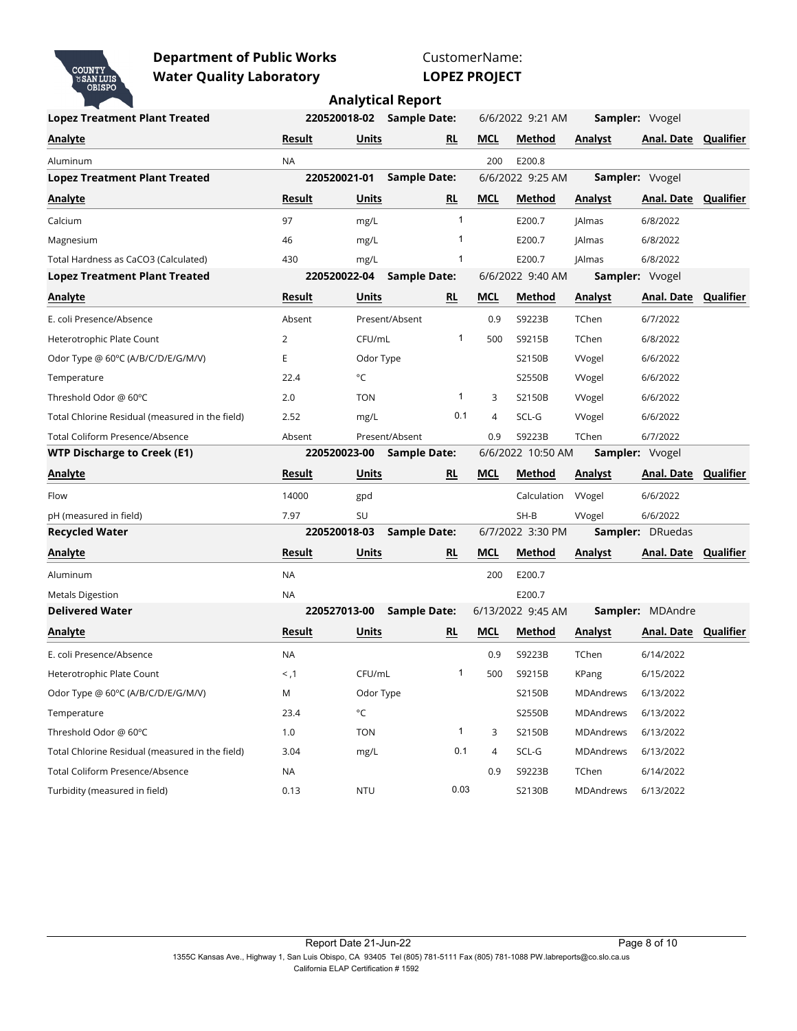

CustomerName: **LOPEZ PROJECT**

| <b>Lopez Treatment Plant Treated</b>            | 220520018-02 |              | <b>Sample Date:</b> |              |                | 6/6/2022 9:21 AM  |                  | <b>Sampler: Vvogel</b> |           |
|-------------------------------------------------|--------------|--------------|---------------------|--------------|----------------|-------------------|------------------|------------------------|-----------|
| <b>Analyte</b>                                  | Result       | <b>Units</b> |                     | RL           | <b>MCL</b>     | Method            | <b>Analyst</b>   | Anal. Date             | Qualifier |
| Aluminum                                        | <b>NA</b>    |              |                     |              | 200            | E200.8            |                  |                        |           |
| <b>Lopez Treatment Plant Treated</b>            | 220520021-01 |              | <b>Sample Date:</b> |              |                | 6/6/2022 9:25 AM  |                  | Sampler: Vvogel        |           |
| Analyte                                         | Result       | Units        |                     | RL           | <b>MCL</b>     | Method            | <b>Analyst</b>   | Anal. Date Qualifier   |           |
| Calcium                                         | 97           | mg/L         |                     | 1            |                | E200.7            | JAlmas           | 6/8/2022               |           |
| Magnesium                                       | 46           | mg/L         |                     | 1            |                | E200.7            | <b>JAlmas</b>    | 6/8/2022               |           |
| Total Hardness as CaCO3 (Calculated)            | 430          | mg/L         |                     | 1            |                | E200.7            | JAlmas           | 6/8/2022               |           |
| <b>Lopez Treatment Plant Treated</b>            | 220520022-04 |              | <b>Sample Date:</b> |              |                | 6/6/2022 9:40 AM  |                  | Sampler: Vvogel        |           |
| <b>Analyte</b>                                  | Result       | Units        |                     | <b>RL</b>    | <b>MCL</b>     | <b>Method</b>     | <b>Analyst</b>   | Anal. Date             | Qualifier |
| E. coli Presence/Absence                        | Absent       |              | Present/Absent      |              | 0.9            | S9223B            | TChen            | 6/7/2022               |           |
| Heterotrophic Plate Count                       | 2            | CFU/mL       |                     | 1            | 500            | S9215B            | TChen            | 6/8/2022               |           |
| Odor Type @ 60°C (A/B/C/D/E/G/M/V)              | Е            | Odor Type    |                     |              |                | S2150B            | <b>VVogel</b>    | 6/6/2022               |           |
| Temperature                                     | 22.4         | °C           |                     |              |                | S2550B            | <b>Wogel</b>     | 6/6/2022               |           |
| Threshold Odor @ 60°C                           | 2.0          | <b>TON</b>   |                     | 1            | 3              | S2150B            | <b>VVogel</b>    | 6/6/2022               |           |
| Total Chlorine Residual (measured in the field) | 2.52         | mg/L         |                     | 0.1          | $\overline{4}$ | SCL-G             | <b>VVogel</b>    | 6/6/2022               |           |
| <b>Total Coliform Presence/Absence</b>          | Absent       |              | Present/Absent      |              | 0.9            | S9223B            | TChen            | 6/7/2022               |           |
| <b>WTP Discharge to Creek (E1)</b>              | 220520023-00 |              | <b>Sample Date:</b> |              |                | 6/6/2022 10:50 AM |                  | Sampler: Vvogel        |           |
| <b>Analyte</b>                                  | Result       | Units        |                     | RL           | <b>MCL</b>     | Method            | <b>Analyst</b>   | <b>Anal. Date</b>      | Qualifier |
| Flow                                            | 14000        | gpd          |                     |              |                | Calculation       | Wogel            | 6/6/2022               |           |
| pH (measured in field)                          | 7.97         | SU           |                     |              |                | $SH-B$            | VVogel           | 6/6/2022               |           |
| <b>Recycled Water</b>                           | 220520018-03 |              | <b>Sample Date:</b> |              |                | 6/7/2022 3:30 PM  |                  | Sampler: DRuedas       |           |
| <b>Analyte</b>                                  | Result       | Units        |                     | RL           | <b>MCL</b>     | Method            | <b>Analyst</b>   | Anal. Date             | Qualifier |
| Aluminum                                        | <b>NA</b>    |              |                     |              | 200            | E200.7            |                  |                        |           |
| <b>Metals Digestion</b>                         | <b>NA</b>    |              |                     |              |                | E200.7            |                  |                        |           |
| <b>Delivered Water</b>                          | 220527013-00 |              | <b>Sample Date:</b> |              |                | 6/13/2022 9:45 AM |                  | Sampler: MDAndre       |           |
| <b>Analyte</b>                                  | Result       | Units        |                     | RL           | <b>MCL</b>     | Method            | <b>Analyst</b>   | Anal. Date Qualifier   |           |
| E. coli Presence/Absence                        | <b>NA</b>    |              |                     |              | 0.9            | S9223B            | TChen            | 6/14/2022              |           |
| Heterotrophic Plate Count                       | < 1.1        | CFU/mL       |                     | 1            | 500            | S9215B            | KPang            | 6/15/2022              |           |
| Odor Type @ 60°C (A/B/C/D/E/G/M/V)              | M            | Odor Type    |                     |              |                | S2150B            | MDAndrews        | 6/13/2022              |           |
| Temperature                                     | 23.4         | °C           |                     |              |                | S2550B            | <b>MDAndrews</b> | 6/13/2022              |           |
| Threshold Odor @ 60°C                           | 1.0          | <b>TON</b>   |                     | $\mathbf{1}$ | 3              | S2150B            | MDAndrews        | 6/13/2022              |           |
| Total Chlorine Residual (measured in the field) | 3.04         | mg/L         |                     | 0.1          | 4              | SCL-G             | MDAndrews        | 6/13/2022              |           |
| <b>Total Coliform Presence/Absence</b>          | NA           |              |                     |              | 0.9            | S9223B            | TChen            | 6/14/2022              |           |
| Turbidity (measured in field)                   | 0.13         | <b>NTU</b>   |                     | 0.03         |                | S2130B            | <b>MDAndrews</b> | 6/13/2022              |           |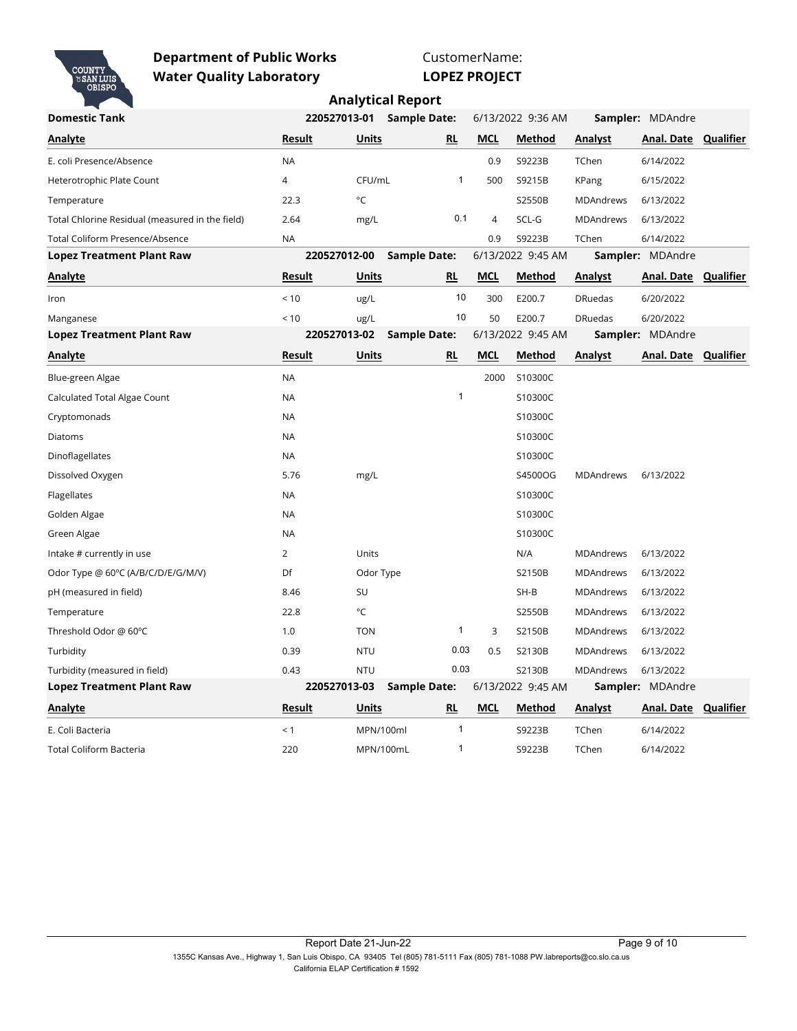

CustomerName: **LOPEZ PROJECT**

| <b>Domestic Tank</b>                            |                | 220527013-01<br><b>Sample Date:</b> |                     |                |                | 6/13/2022 9:36 AM | Sampler: MDAndre |                             |  |
|-------------------------------------------------|----------------|-------------------------------------|---------------------|----------------|----------------|-------------------|------------------|-----------------------------|--|
| Analyte                                         | <b>Result</b>  | <b>Units</b>                        |                     | RL             | <b>MCL</b>     | Method            | Analyst          | Anal. Date Qualifier        |  |
| E. coli Presence/Absence                        | <b>NA</b>      |                                     |                     |                | 0.9            | S9223B            | TChen            | 6/14/2022                   |  |
| Heterotrophic Plate Count                       | 4              | CFU/mL                              |                     | 1              | 500            | S9215B            | KPang            | 6/15/2022                   |  |
| Temperature                                     | 22.3           | $^{\circ}$ C                        |                     |                |                | S2550B            | <b>MDAndrews</b> | 6/13/2022                   |  |
| Total Chlorine Residual (measured in the field) | 2.64           | mg/L                                |                     | 0.1            | $\overline{4}$ | SCL-G             | <b>MDAndrews</b> | 6/13/2022                   |  |
| <b>Total Coliform Presence/Absence</b>          | <b>NA</b>      |                                     |                     |                | 0.9            | S9223B            | TChen            | 6/14/2022                   |  |
| <b>Lopez Treatment Plant Raw</b>                |                | 220527012-00                        | Sample Date:        |                |                | 6/13/2022 9:45 AM |                  | <b>Sampler: MDAndre</b>     |  |
| <b>Analyte</b>                                  | <b>Result</b>  | <b>Units</b>                        |                     | <u>RL</u>      | <b>MCL</b>     | Method            | <b>Analyst</b>   | <b>Anal. Date Qualifier</b> |  |
| Iron                                            | < 10           | ug/L                                |                     | 10             | 300            | E200.7            | <b>DRuedas</b>   | 6/20/2022                   |  |
| Manganese                                       | < 10           | ug/L                                |                     | 10             | 50             | E200.7            | <b>DRuedas</b>   | 6/20/2022                   |  |
| <b>Lopez Treatment Plant Raw</b>                |                | 220527013-02                        | <b>Sample Date:</b> |                |                | 6/13/2022 9:45 AM |                  | <b>Sampler: MDAndre</b>     |  |
| Analyte                                         | Result         | Units                               |                     | RL             | <b>MCL</b>     | Method            | Analyst          | Anal. Date Qualifier        |  |
| Blue-green Algae                                | <b>NA</b>      |                                     |                     |                | 2000           | S10300C           |                  |                             |  |
| Calculated Total Algae Count                    | <b>NA</b>      |                                     |                     | $\mathbf{1}$   |                | S10300C           |                  |                             |  |
| Cryptomonads                                    | NA             |                                     |                     |                |                | S10300C           |                  |                             |  |
| Diatoms                                         | <b>NA</b>      |                                     |                     |                |                | S10300C           |                  |                             |  |
| Dinoflagellates                                 | <b>NA</b>      |                                     |                     |                |                | S10300C           |                  |                             |  |
| Dissolved Oxygen                                | 5.76           | mg/L                                |                     |                |                | S4500OG           | <b>MDAndrews</b> | 6/13/2022                   |  |
| Flagellates                                     | <b>NA</b>      |                                     |                     |                |                | S10300C           |                  |                             |  |
| Golden Algae                                    | <b>NA</b>      |                                     |                     |                |                | S10300C           |                  |                             |  |
| Green Algae                                     | <b>NA</b>      |                                     |                     |                |                | S10300C           |                  |                             |  |
| Intake # currently in use                       | $\overline{2}$ | Units                               |                     |                |                | N/A               | <b>MDAndrews</b> | 6/13/2022                   |  |
| Odor Type @ 60°C (A/B/C/D/E/G/M/V)              | Df             | Odor Type                           |                     |                |                | S2150B            | <b>MDAndrews</b> | 6/13/2022                   |  |
| pH (measured in field)                          | 8.46           | SU                                  |                     |                |                | $SH-B$            | <b>MDAndrews</b> | 6/13/2022                   |  |
| Temperature                                     | 22.8           | °C                                  |                     |                |                | S2550B            | <b>MDAndrews</b> | 6/13/2022                   |  |
| Threshold Odor @ 60°C                           | 1.0            | <b>TON</b>                          |                     | $\mathbf{1}$   | 3              | S2150B            | <b>MDAndrews</b> | 6/13/2022                   |  |
| Turbidity                                       | 0.39           | <b>NTU</b>                          |                     | 0.03           | 0.5            | S2130B            | <b>MDAndrews</b> | 6/13/2022                   |  |
| Turbidity (measured in field)                   | 0.43           | <b>NTU</b>                          |                     | 0.03           |                | S2130B            | <b>MDAndrews</b> | 6/13/2022                   |  |
| <b>Lopez Treatment Plant Raw</b>                |                | 220527013-03                        | <b>Sample Date:</b> |                |                | 6/13/2022 9:45 AM |                  | Sampler: MDAndre            |  |
| Analyte                                         | Result         | Units                               |                     | RL             | MCL            | Method            | <b>Analyst</b>   | Anal. Date Qualifier        |  |
| E. Coli Bacteria                                | < 1            | MPN/100ml                           |                     | $\overline{1}$ |                | S9223B            | TChen            | 6/14/2022                   |  |
| <b>Total Coliform Bacteria</b>                  | 220            |                                     | MPN/100mL           | $\mathbf{1}$   |                | S9223B            | TChen            | 6/14/2022                   |  |